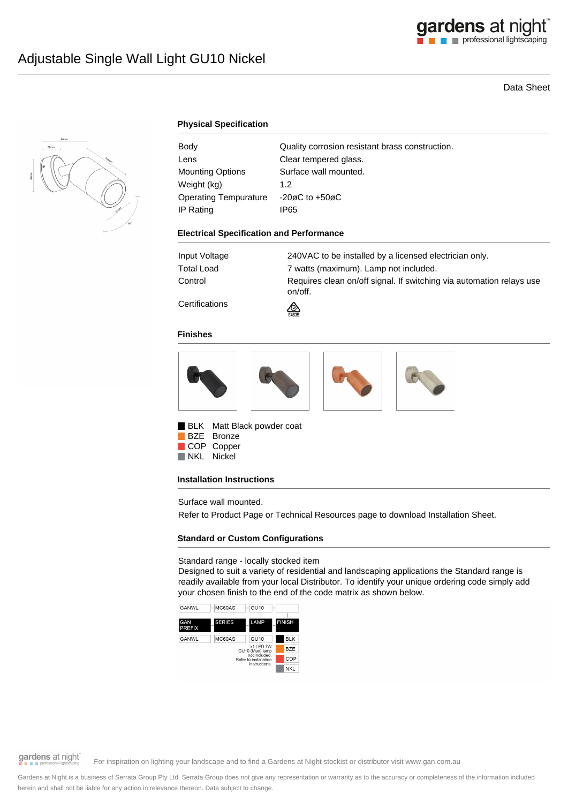

# Data Sheet



### **Physical Specification**

| Body                    | Quality corrosion resistant brass construction. |
|-------------------------|-------------------------------------------------|
| Lens                    | Clear tempered glass.                           |
| <b>Mounting Options</b> | Surface wall mounted.                           |
| Weight (kg)             | 1.2 <sub>2</sub>                                |
| Operating Tempurature   | $-20\varnothing$ C to $+50\varnothing$ C        |
| IP Rating               | IP65                                            |

#### **Electrical Specification and Performance**

| Input Voltage                   | 240VAC to be installed by a licensed electrician only.                          |
|---------------------------------|---------------------------------------------------------------------------------|
| Total Load                      | 7 watts (maximum). Lamp not included.                                           |
| Control                         | Requires clean on/off signal. If switching via automation relays use<br>on/off. |
| <b>A</b> - -- - - - - - - - - - |                                                                                 |

**Certifications** 



#### **Finishes**



BLK Matt Black powder coat BZE Bronze COP Copper

NKL Nickel

### **Installation Instructions**

Surface wall mounted.

Refer to Product Page or Technical Resources page to download Installation Sheet.

## **Standard or Custom Configurations**

#### Standard range - locally stocked item

Designed to suit a variety of residential and landscaping applications the Standard range is readily available from your local Distributor. To identify your unique ordering code simply add your chosen finish to the end of the code matrix as shown below.



gardens at night

For inspiration on lighting your landscape and to find a Gardens at Night stockist or distributor visit www.gan.com.au

Gardens at Night is a business of Serrata Group Pty Ltd. Serrata Group does not give any representation or warranty as to the accuracy or completeness of the information included herein and shall not be liable for any action in relevance thereon. Data subject to change.